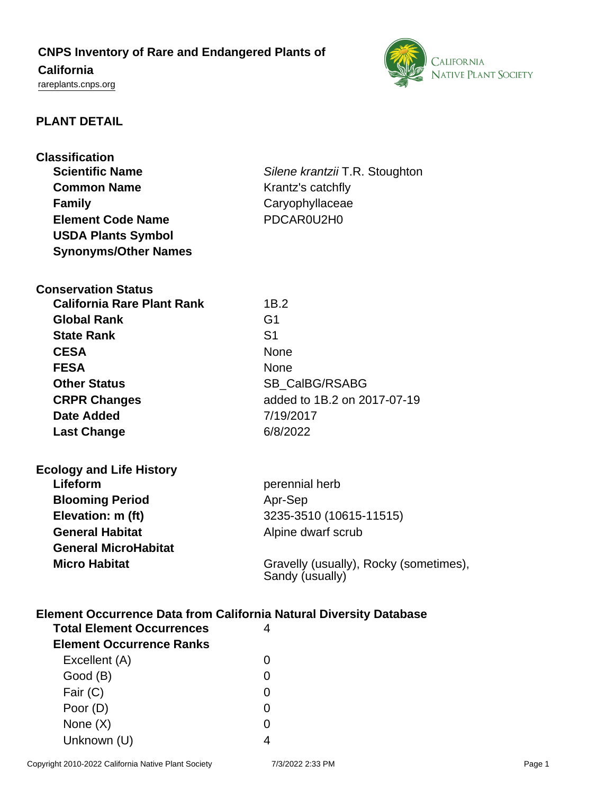# **CNPS Inventory of Rare and Endangered Plants of California**

## <rareplants.cnps.org>



### **PLANT DETAIL**

| <b>Classification</b>                                                     |                                                           |  |  |
|---------------------------------------------------------------------------|-----------------------------------------------------------|--|--|
| <b>Scientific Name</b>                                                    | Silene krantzii T.R. Stoughton                            |  |  |
| <b>Common Name</b>                                                        | Krantz's catchfly                                         |  |  |
| <b>Family</b>                                                             | Caryophyllaceae                                           |  |  |
| <b>Element Code Name</b>                                                  | PDCAR0U2H0                                                |  |  |
| <b>USDA Plants Symbol</b>                                                 |                                                           |  |  |
| <b>Synonyms/Other Names</b>                                               |                                                           |  |  |
| <b>Conservation Status</b>                                                |                                                           |  |  |
| <b>California Rare Plant Rank</b>                                         | 1B.2                                                      |  |  |
| <b>Global Rank</b>                                                        | G <sub>1</sub>                                            |  |  |
| <b>State Rank</b>                                                         | S <sub>1</sub>                                            |  |  |
| <b>CESA</b>                                                               | <b>None</b>                                               |  |  |
| <b>FESA</b>                                                               | <b>None</b>                                               |  |  |
| <b>Other Status</b>                                                       | SB_CalBG/RSABG                                            |  |  |
| <b>CRPR Changes</b>                                                       | added to 1B.2 on 2017-07-19                               |  |  |
| Date Added                                                                | 7/19/2017                                                 |  |  |
| <b>Last Change</b>                                                        | 6/8/2022                                                  |  |  |
| <b>Ecology and Life History</b>                                           |                                                           |  |  |
| Lifeform                                                                  | perennial herb                                            |  |  |
| <b>Blooming Period</b>                                                    | Apr-Sep                                                   |  |  |
| Elevation: m (ft)                                                         | 3235-3510 (10615-11515)                                   |  |  |
| <b>General Habitat</b>                                                    | Alpine dwarf scrub                                        |  |  |
| <b>General MicroHabitat</b>                                               |                                                           |  |  |
| <b>Micro Habitat</b>                                                      | Gravelly (usually), Rocky (sometimes),<br>Sandy (usually) |  |  |
| <b>Element Occurrence Data from California Natural Diversity Database</b> |                                                           |  |  |
| <b>Total Element Occurrences</b>                                          | 4                                                         |  |  |
| <b>Element Occurrence Ranks</b>                                           |                                                           |  |  |
| Excellent (A)                                                             | 0                                                         |  |  |
| Good (B)                                                                  | 0                                                         |  |  |
| Fair (C)                                                                  | 0                                                         |  |  |
| Poor (D)                                                                  | 0                                                         |  |  |
| None $(X)$                                                                | 0                                                         |  |  |

Unknown (U) 4